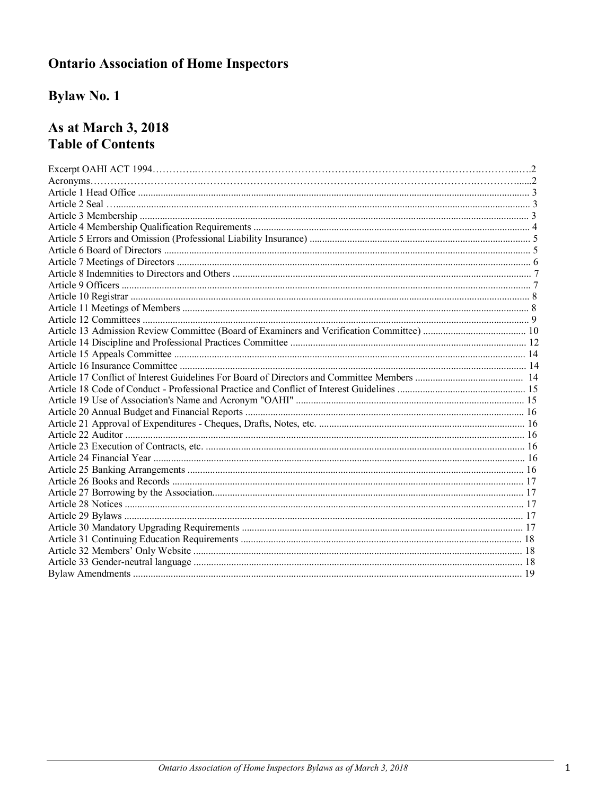# **Ontario Association of Home Inspectors**

# **Bylaw No. 1**

# As at March 3, 2018 **Table of Contents**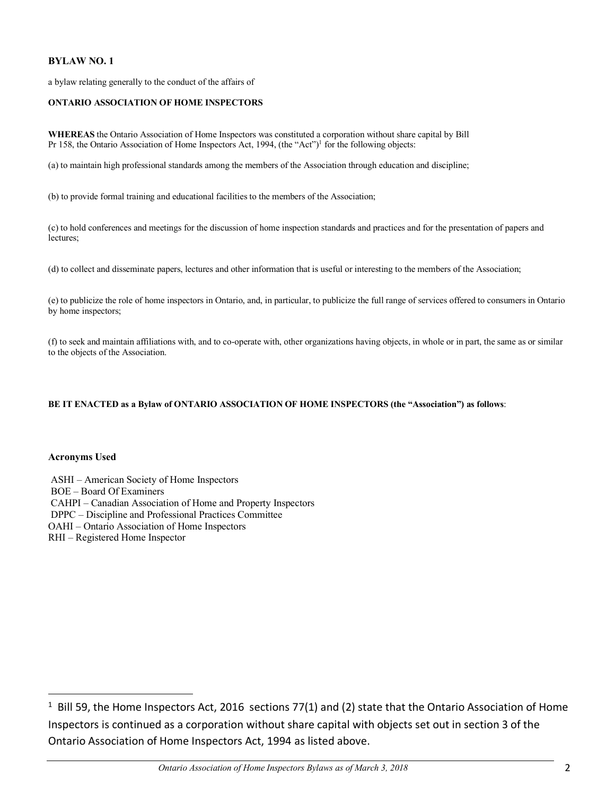# **BYLAW NO. 1**

a bylaw relating generally to the conduct of the affairs of

#### **ONTARIO ASSOCIATION OF HOME INSPECTORS**

**WHEREAS** the Ontario Association of Home Inspectors was constituted a corporation without share capital by Bill Pr 158, the Ontario Association of Home Inspectors Act, 1994, (the "Act")<sup>1</sup> for the following objects:

(a) to maintain high professional standards among the members of the Association through education and discipline;

(b) to provide formal training and educational facilities to the members of the Association;

(c) to hold conferences and meetings for the discussion of home inspection standards and practices and for the presentation of papers and lectures;

(d) to collect and disseminate papers, lectures and other information that is useful or interesting to the members of the Association;

(e) to publicize the role of home inspectors in Ontario, and, in particular, to publicize the full range of services offered to consumers in Ontario by home inspectors;

(f) to seek and maintain affiliations with, and to co-operate with, other organizations having objects, in whole or in part, the same as or similar to the objects of the Association.

#### **BE IT ENACTED as a Bylaw of ONTARIO ASSOCIATION OF HOME INSPECTORS (the "Association") as follows**:

#### **Acronyms Used**

ASHI – American Society of Home Inspectors BOE – Board Of Examiners CAHPI – Canadian Association of Home and Property Inspectors DPPC – Discipline and Professional Practices Committee OAHI – Ontario Association of Home Inspectors RHI – Registered Home Inspector

 $1$  Bill 59, the Home Inspectors Act, 2016 sections 77(1) and (2) state that the Ontario Association of Home Inspectors is continued as a corporation without share capital with objects set out in section 3 of the Ontario Association of Home Inspectors Act, 1994 as listed above.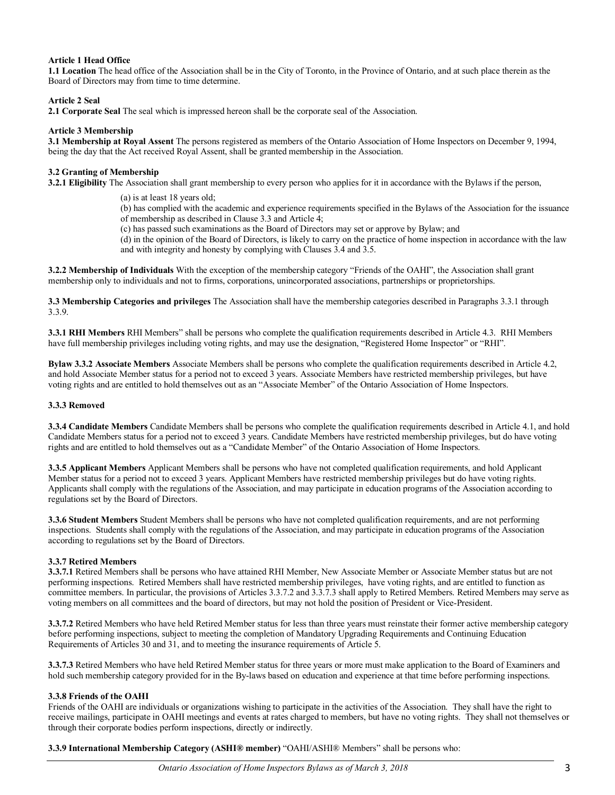#### **Article 1 Head Office**

**1.1 Location** The head office of the Association shall be in the City of Toronto, in the Province of Ontario, and at such place therein as the Board of Directors may from time to time determine.

#### **Article 2 Seal**

**2.1 Corporate Seal** The seal which is impressed hereon shall be the corporate seal of the Association.

#### **Article 3 Membership**

**3.1 Membership at Royal Assent** The persons registered as members of the Ontario Association of Home Inspectors on December 9, 1994, being the day that the Act received Royal Assent, shall be granted membership in the Association.

#### **3.2 Granting of Membership**

**3.2.1 Eligibility** The Association shall grant membership to every person who applies for it in accordance with the Bylaws if the person,

(a) is at least 18 years old;

(b) has complied with the academic and experience requirements specified in the Bylaws of the Association for the issuance of membership as described in Clause 3.3 and Article 4;

(c) has passed such examinations as the Board of Directors may set or approve by Bylaw; and

(d) in the opinion of the Board of Directors, is likely to carry on the practice of home inspection in accordance with the law and with integrity and honesty by complying with Clauses 3.4 and 3.5.

**3.2.2 Membership of Individuals** With the exception of the membership category "Friends of the OAHI", the Association shall grant membership only to individuals and not to firms, corporations, unincorporated associations, partnerships or proprietorships.

**3.3 Membership Categories and privileges** The Association shall have the membership categories described in Paragraphs 3.3.1 through 3.3.9.

**3.3.1 RHI Members** RHI Members" shall be persons who complete the qualification requirements described in Article 4.3. RHI Members have full membership privileges including voting rights, and may use the designation, "Registered Home Inspector" or "RHI".

**Bylaw 3.3.2 Associate Members** Associate Members shall be persons who complete the qualification requirements described in Article 4.2, and hold Associate Member status for a period not to exceed 3 years. Associate Members have restricted membership privileges, but have voting rights and are entitled to hold themselves out as an "Associate Member" of the Ontario Association of Home Inspectors.

#### **3.3.3 Removed**

**3.3.4 Candidate Members** Candidate Members shall be persons who complete the qualification requirements described in Article 4.1, and hold Candidate Members status for a period not to exceed 3 years. Candidate Members have restricted membership privileges, but do have voting rights and are entitled to hold themselves out as a "Candidate Member" of the Ontario Association of Home Inspectors.

**3.3.5 Applicant Members** Applicant Members shall be persons who have not completed qualification requirements, and hold Applicant Member status for a period not to exceed 3 years. Applicant Members have restricted membership privileges but do have voting rights. Applicants shall comply with the regulations of the Association, and may participate in education programs of the Association according to regulations set by the Board of Directors.

**3.3.6 Student Members** Student Members shall be persons who have not completed qualification requirements, and are not performing inspections. Students shall comply with the regulations of the Association, and may participate in education programs of the Association according to regulations set by the Board of Directors.

#### **3.3.7 Retired Members**

**3.3.7.1** Retired Members shall be persons who have attained RHI Member, New Associate Member or Associate Member status but are not performing inspections. Retired Members shall have restricted membership privileges, have voting rights, and are entitled to function as committee members. In particular, the provisions of Articles 3.3.7.2 and 3.3.7.3 shall apply to Retired Members. Retired Members may serve as voting members on all committees and the board of directors, but may not hold the position of President or Vice-President.

**3.3.7.2** Retired Members who have held Retired Member status for less than three years must reinstate their former active membership category before performing inspections, subject to meeting the completion of Mandatory Upgrading Requirements and Continuing Education Requirements of Articles 30 and 31, and to meeting the insurance requirements of Article 5.

**3.3.7.3** Retired Members who have held Retired Member status for three years or more must make application to the Board of Examiners and hold such membership category provided for in the By-laws based on education and experience at that time before performing inspections.

## **3.3.8 Friends of the OAHI**

Friends of the OAHI are individuals or organizations wishing to participate in the activities of the Association. They shall have the right to receive mailings, participate in OAHI meetings and events at rates charged to members, but have no voting rights. They shall not themselves or through their corporate bodies perform inspections, directly or indirectly.

**3.3.9 International Membership Category (ASHI® member)** "OAHI/ASHI® Members" shall be persons who: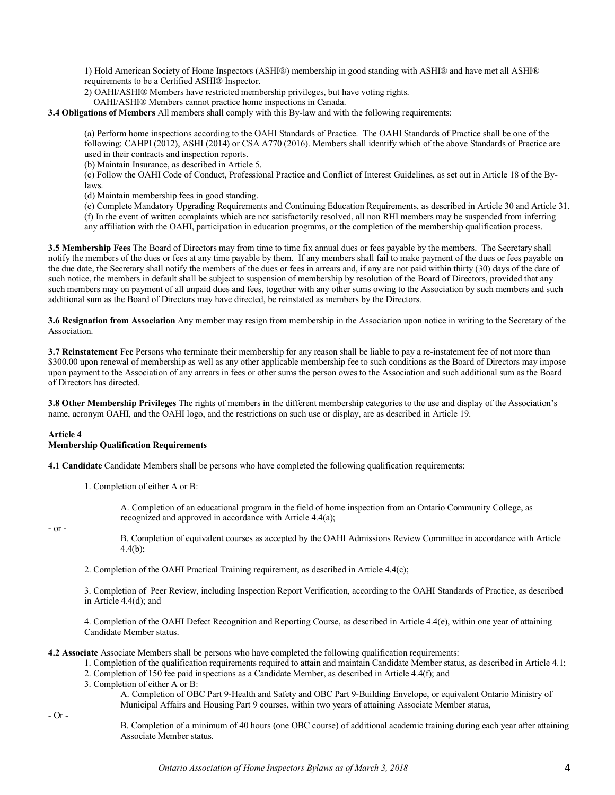1) Hold American Society of Home Inspectors (ASHI®) membership in good standing with ASHI® and have met all ASHI® requirements to be a Certified ASHI® Inspector.

- 2) OAHI/ASHI® Members have restricted membership privileges, but have voting rights.
	- OAHI/ASHI® Members cannot practice home inspections in Canada.

**3.4 Obligations of Members** All members shall comply with this By-law and with the following requirements:

(a) Perform home inspections according to the OAHI Standards of Practice. The OAHI Standards of Practice shall be one of the following: CAHPI (2012), ASHI (2014) or CSA A770 (2016). Members shall identify which of the above Standards of Practice are used in their contracts and inspection reports.

(b) Maintain Insurance, as described in Article 5.

(c) Follow the OAHI Code of Conduct, Professional Practice and Conflict of Interest Guidelines, as set out in Article 18 of the Bylaws.

(d) Maintain membership fees in good standing.

(e) Complete Mandatory Upgrading Requirements and Continuing Education Requirements, as described in Article 30 and Article 31. (f) In the event of written complaints which are not satisfactorily resolved, all non RHI members may be suspended from inferring any affiliation with the OAHI, participation in education programs, or the completion of the membership qualification process.

**3.5 Membership Fees** The Board of Directors may from time to time fix annual dues or fees payable by the members. The Secretary shall notify the members of the dues or fees at any time payable by them. If any members shall fail to make payment of the dues or fees payable on the due date, the Secretary shall notify the members of the dues or fees in arrears and, if any are not paid within thirty (30) days of the date of such notice, the members in default shall be subject to suspension of membership by resolution of the Board of Directors, provided that any such members may on payment of all unpaid dues and fees, together with any other sums owing to the Association by such members and such additional sum as the Board of Directors may have directed, be reinstated as members by the Directors.

**3.6 Resignation from Association** Any member may resign from membership in the Association upon notice in writing to the Secretary of the Association.

**3.7 Reinstatement Fee** Persons who terminate their membership for any reason shall be liable to pay a re-instatement fee of not more than \$300.00 upon renewal of membership as well as any other applicable membership fee to such conditions as the Board of Directors may impose upon payment to the Association of any arrears in fees or other sums the person owes to the Association and such additional sum as the Board of Directors has directed.

**3.8 Other Membership Privileges** The rights of members in the different membership categories to the use and display of the Association's name, acronym OAHI, and the OAHI logo, and the restrictions on such use or display, are as described in Article 19.

#### **Article 4**

#### **Membership Qualification Requirements**

**4.1 Candidate** Candidate Members shall be persons who have completed the following qualification requirements:

1. Completion of either A or B:

A. Completion of an educational program in the field of home inspection from an Ontario Community College, as recognized and approved in accordance with Article 4.4(a);

- or -

B. Completion of equivalent courses as accepted by the OAHI Admissions Review Committee in accordance with Article 4.4(b);

2. Completion of the OAHI Practical Training requirement, as described in Article 4.4(c);

3. Completion of Peer Review, including Inspection Report Verification, according to the OAHI Standards of Practice, as described in Article 4.4(d); and

4. Completion of the OAHI Defect Recognition and Reporting Course, as described in Article 4.4(e), within one year of attaining Candidate Member status.

**4.2 Associate** Associate Members shall be persons who have completed the following qualification requirements:

- 1. Completion of the qualification requirements required to attain and maintain Candidate Member status, as described in Article 4.1;
- 2. Completion of 150 fee paid inspections as a Candidate Member, as described in Article 4.4(f); and
- 3. Completion of either A or B:

A. Completion of OBC Part 9-Health and Safety and OBC Part 9-Building Envelope, or equivalent Ontario Ministry of Municipal Affairs and Housing Part 9 courses, within two years of attaining Associate Member status,

- Or -

B. Completion of a minimum of 40 hours (one OBC course) of additional academic training during each year after attaining Associate Member status.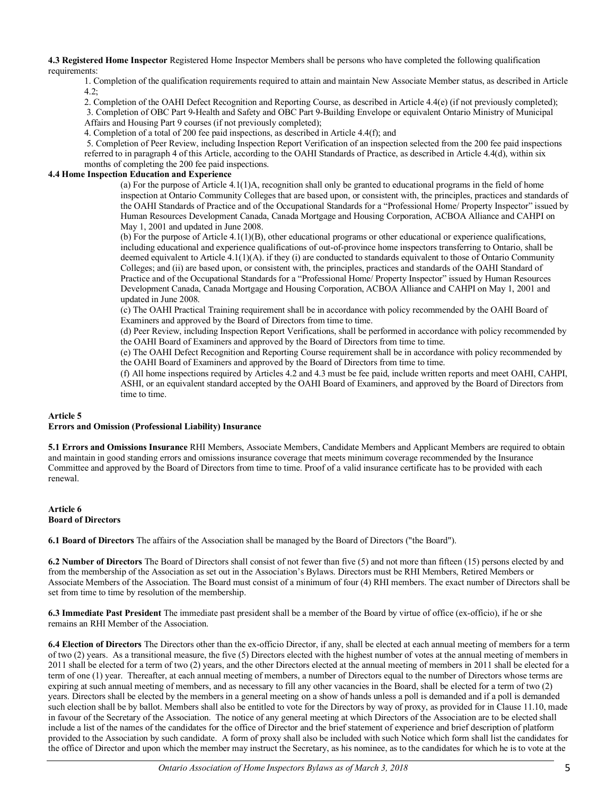**4.3 Registered Home Inspector** Registered Home Inspector Members shall be persons who have completed the following qualification requirements:

1. Completion of the qualification requirements required to attain and maintain New Associate Member status, as described in Article  $4.2$ ;

2. Completion of the OAHI Defect Recognition and Reporting Course, as described in Article 4.4(e) (if not previously completed); 3. Completion of OBC Part 9-Health and Safety and OBC Part 9-Building Envelope or equivalent Ontario Ministry of Municipal Affairs and Housing Part 9 courses (if not previously completed);

4. Completion of a total of 200 fee paid inspections, as described in Article 4.4(f); and

5. Completion of Peer Review, including Inspection Report Verification of an inspection selected from the 200 fee paid inspections referred to in paragraph 4 of this Article, according to the OAHI Standards of Practice, as described in Article 4.4(d), within six months of completing the 200 fee paid inspections.

#### **4.4 Home Inspection Education and Experience**

(a) For the purpose of Article 4.1(1)A, recognition shall only be granted to educational programs in the field of home inspection at Ontario Community Colleges that are based upon, or consistent with, the principles, practices and standards of the OAHI Standards of Practice and of the Occupational Standards for a "Professional Home/ Property Inspector" issued by Human Resources Development Canada, Canada Mortgage and Housing Corporation, ACBOA Alliance and CAHPI on May 1, 2001 and updated in June 2008.

(b) For the purpose of Article 4.1(1)(B), other educational programs or other educational or experience qualifications, including educational and experience qualifications of out-of-province home inspectors transferring to Ontario, shall be deemed equivalent to Article  $4.1(1)(A)$ . if they (i) are conducted to standards equivalent to those of Ontario Community Colleges; and (ii) are based upon, or consistent with, the principles, practices and standards of the OAHI Standard of Practice and of the Occupational Standards for a "Professional Home/ Property Inspector" issued by Human Resources Development Canada, Canada Mortgage and Housing Corporation, ACBOA Alliance and CAHPI on May 1, 2001 and updated in June 2008.

(c) The OAHI Practical Training requirement shall be in accordance with policy recommended by the OAHI Board of Examiners and approved by the Board of Directors from time to time.

(d) Peer Review, including Inspection Report Verifications, shall be performed in accordance with policy recommended by the OAHI Board of Examiners and approved by the Board of Directors from time to time.

(e) The OAHI Defect Recognition and Reporting Course requirement shall be in accordance with policy recommended by the OAHI Board of Examiners and approved by the Board of Directors from time to time.

(f) All home inspections required by Articles 4.2 and 4.3 must be fee paid, include written reports and meet OAHI, CAHPI, ASHI, or an equivalent standard accepted by the OAHI Board of Examiners, and approved by the Board of Directors from time to time.

#### **Article 5**

#### **Errors and Omission (Professional Liability) Insurance**

**5.1 Errors and Omissions Insurance** RHI Members, Associate Members, Candidate Members and Applicant Members are required to obtain and maintain in good standing errors and omissions insurance coverage that meets minimum coverage recommended by the Insurance Committee and approved by the Board of Directors from time to time. Proof of a valid insurance certificate has to be provided with each renewal.

#### **Article 6 Board of Directors**

**6.1 Board of Directors** The affairs of the Association shall be managed by the Board of Directors ("the Board").

**6.2 Number of Directors** The Board of Directors shall consist of not fewer than five (5) and not more than fifteen (15) persons elected by and from the membership of the Association as set out in the Association's Bylaws. Directors must be RHI Members, Retired Members or Associate Members of the Association. The Board must consist of a minimum of four (4) RHI members. The exact number of Directors shall be set from time to time by resolution of the membership.

**6.3 Immediate Past President** The immediate past president shall be a member of the Board by virtue of office (ex-officio), if he or she remains an RHI Member of the Association.

**6.4 Election of Directors** The Directors other than the ex-officio Director, if any, shall be elected at each annual meeting of members for a term of two (2) years. As a transitional measure, the five (5) Directors elected with the highest number of votes at the annual meeting of members in 2011 shall be elected for a term of two (2) years, and the other Directors elected at the annual meeting of members in 2011 shall be elected for a term of one (1) year. Thereafter, at each annual meeting of members, a number of Directors equal to the number of Directors whose terms are expiring at such annual meeting of members, and as necessary to fill any other vacancies in the Board, shall be elected for a term of two (2) years. Directors shall be elected by the members in a general meeting on a show of hands unless a poll is demanded and if a poll is demanded such election shall be by ballot. Members shall also be entitled to vote for the Directors by way of proxy, as provided for in Clause 11.10, made in favour of the Secretary of the Association. The notice of any general meeting at which Directors of the Association are to be elected shall include a list of the names of the candidates for the office of Director and the brief statement of experience and brief description of platform provided to the Association by such candidate. A form of proxy shall also be included with such Notice which form shall list the candidates for the office of Director and upon which the member may instruct the Secretary, as his nominee, as to the candidates for which he is to vote at the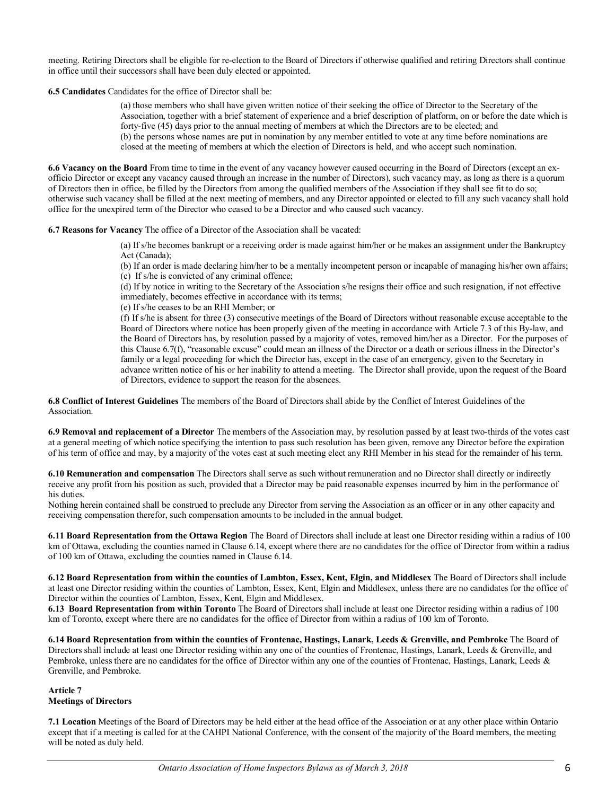meeting. Retiring Directors shall be eligible for re-election to the Board of Directors if otherwise qualified and retiring Directors shall continue in office until their successors shall have been duly elected or appointed.

**6.5 Candidates** Candidates for the office of Director shall be:

(a) those members who shall have given written notice of their seeking the office of Director to the Secretary of the Association, together with a brief statement of experience and a brief description of platform, on or before the date which is forty-five (45) days prior to the annual meeting of members at which the Directors are to be elected; and (b) the persons whose names are put in nomination by any member entitled to vote at any time before nominations are closed at the meeting of members at which the election of Directors is held, and who accept such nomination.

**6.6 Vacancy on the Board** From time to time in the event of any vacancy however caused occurring in the Board of Directors (except an exofficio Director or except any vacancy caused through an increase in the number of Directors), such vacancy may, as long as there is a quorum of Directors then in office, be filled by the Directors from among the qualified members of the Association if they shall see fit to do so; otherwise such vacancy shall be filled at the next meeting of members, and any Director appointed or elected to fill any such vacancy shall hold office for the unexpired term of the Director who ceased to be a Director and who caused such vacancy.

**6.7 Reasons for Vacancy** The office of a Director of the Association shall be vacated:

(a) If s/he becomes bankrupt or a receiving order is made against him/her or he makes an assignment under the Bankruptcy Act (Canada);

(b) If an order is made declaring him/her to be a mentally incompetent person or incapable of managing his/her own affairs; (c) If s/he is convicted of any criminal offence;

(d) If by notice in writing to the Secretary of the Association s/he resigns their office and such resignation, if not effective immediately, becomes effective in accordance with its terms;

(e) If s/he ceases to be an RHI Member; or

(f) If s/he is absent for three (3) consecutive meetings of the Board of Directors without reasonable excuse acceptable to the Board of Directors where notice has been properly given of the meeting in accordance with Article 7.3 of this By-law, and the Board of Directors has, by resolution passed by a majority of votes, removed him/her as a Director. For the purposes of this Clause 6.7(f), "reasonable excuse" could mean an illness of the Director or a death or serious illness in the Director's family or a legal proceeding for which the Director has, except in the case of an emergency, given to the Secretary in advance written notice of his or her inability to attend a meeting. The Director shall provide, upon the request of the Board of Directors, evidence to support the reason for the absences.

**6.8 Conflict of Interest Guidelines** The members of the Board of Directors shall abide by the Conflict of Interest Guidelines of the Association.

**6.9 Removal and replacement of a Director** The members of the Association may, by resolution passed by at least two-thirds of the votes cast at a general meeting of which notice specifying the intention to pass such resolution has been given, remove any Director before the expiration of his term of office and may, by a majority of the votes cast at such meeting elect any RHI Member in his stead for the remainder of his term.

**6.10 Remuneration and compensation** The Directors shall serve as such without remuneration and no Director shall directly or indirectly receive any profit from his position as such, provided that a Director may be paid reasonable expenses incurred by him in the performance of his duties.

Nothing herein contained shall be construed to preclude any Director from serving the Association as an officer or in any other capacity and receiving compensation therefor, such compensation amounts to be included in the annual budget.

**6.11 Board Representation from the Ottawa Region** The Board of Directors shall include at least one Director residing within a radius of 100 km of Ottawa, excluding the counties named in Clause 6.14, except where there are no candidates for the office of Director from within a radius of 100 km of Ottawa, excluding the counties named in Clause 6.14.

**6.12 Board Representation from within the counties of Lambton, Essex, Kent, Elgin, and Middlesex** The Board of Directors shall include at least one Director residing within the counties of Lambton, Essex, Kent, Elgin and Middlesex, unless there are no candidates for the office of Director within the counties of Lambton, Essex, Kent, Elgin and Middlesex.

**6.13 Board Representation from within Toronto** The Board of Directors shall include at least one Director residing within a radius of 100 km of Toronto, except where there are no candidates for the office of Director from within a radius of 100 km of Toronto.

**6.14 Board Representation from within the counties of Frontenac, Hastings, Lanark, Leeds & Grenville, and Pembroke** The Board of Directors shall include at least one Director residing within any one of the counties of Frontenac, Hastings, Lanark, Leeds & Grenville, and Pembroke, unless there are no candidates for the office of Director within any one of the counties of Frontenac, Hastings, Lanark, Leeds & Grenville, and Pembroke.

# **Article 7 Meetings of Directors**

**7.1 Location** Meetings of the Board of Directors may be held either at the head office of the Association or at any other place within Ontario except that if a meeting is called for at the CAHPI National Conference, with the consent of the majority of the Board members, the meeting will be noted as duly held.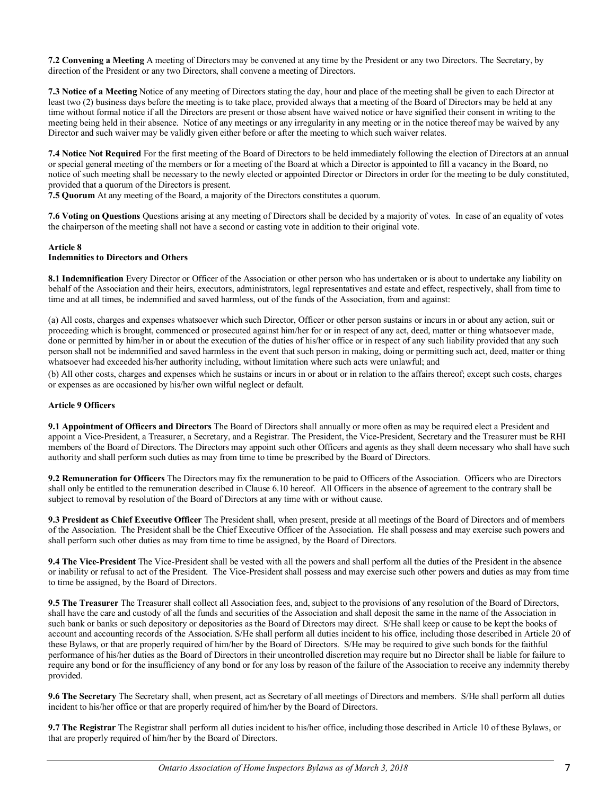**7.2 Convening a Meeting** A meeting of Directors may be convened at any time by the President or any two Directors. The Secretary, by direction of the President or any two Directors, shall convene a meeting of Directors.

**7.3 Notice of a Meeting** Notice of any meeting of Directors stating the day, hour and place of the meeting shall be given to each Director at least two (2) business days before the meeting is to take place, provided always that a meeting of the Board of Directors may be held at any time without formal notice if all the Directors are present or those absent have waived notice or have signified their consent in writing to the meeting being held in their absence. Notice of any meetings or any irregularity in any meeting or in the notice thereof may be waived by any Director and such waiver may be validly given either before or after the meeting to which such waiver relates.

**7.4 Notice Not Required** For the first meeting of the Board of Directors to be held immediately following the election of Directors at an annual or special general meeting of the members or for a meeting of the Board at which a Director is appointed to fill a vacancy in the Board, no notice of such meeting shall be necessary to the newly elected or appointed Director or Directors in order for the meeting to be duly constituted, provided that a quorum of the Directors is present.

**7.5 Quorum** At any meeting of the Board, a majority of the Directors constitutes a quorum.

**7.6 Voting on Questions** Questions arising at any meeting of Directors shall be decided by a majority of votes. In case of an equality of votes the chairperson of the meeting shall not have a second or casting vote in addition to their original vote.

#### **Article 8**

## **Indemnities to Directors and Others**

**8.1 Indemnification** Every Director or Officer of the Association or other person who has undertaken or is about to undertake any liability on behalf of the Association and their heirs, executors, administrators, legal representatives and estate and effect, respectively, shall from time to time and at all times, be indemnified and saved harmless, out of the funds of the Association, from and against:

(a) All costs, charges and expenses whatsoever which such Director, Officer or other person sustains or incurs in or about any action, suit or proceeding which is brought, commenced or prosecuted against him/her for or in respect of any act, deed, matter or thing whatsoever made, done or permitted by him/her in or about the execution of the duties of his/her office or in respect of any such liability provided that any such person shall not be indemnified and saved harmless in the event that such person in making, doing or permitting such act, deed, matter or thing whatsoever had exceeded his/her authority including, without limitation where such acts were unlawful; and

(b) All other costs, charges and expenses which he sustains or incurs in or about or in relation to the affairs thereof; except such costs, charges or expenses as are occasioned by his/her own wilful neglect or default.

#### **Article 9 Officers**

**9.1 Appointment of Officers and Directors** The Board of Directors shall annually or more often as may be required elect a President and appoint a Vice-President, a Treasurer, a Secretary, and a Registrar. The President, the Vice-President, Secretary and the Treasurer must be RHI members of the Board of Directors. The Directors may appoint such other Officers and agents as they shall deem necessary who shall have such authority and shall perform such duties as may from time to time be prescribed by the Board of Directors.

**9.2 Remuneration for Officers** The Directors may fix the remuneration to be paid to Officers of the Association. Officers who are Directors shall only be entitled to the remuneration described in Clause 6.10 hereof. All Officers in the absence of agreement to the contrary shall be subject to removal by resolution of the Board of Directors at any time with or without cause.

**9.3 President as Chief Executive Officer** The President shall, when present, preside at all meetings of the Board of Directors and of members of the Association. The President shall be the Chief Executive Officer of the Association. He shall possess and may exercise such powers and shall perform such other duties as may from time to time be assigned, by the Board of Directors.

**9.4 The Vice-President** The Vice-President shall be vested with all the powers and shall perform all the duties of the President in the absence or inability or refusal to act of the President. The Vice-President shall possess and may exercise such other powers and duties as may from time to time be assigned, by the Board of Directors.

**9.5 The Treasurer** The Treasurer shall collect all Association fees, and, subject to the provisions of any resolution of the Board of Directors, shall have the care and custody of all the funds and securities of the Association and shall deposit the same in the name of the Association in such bank or banks or such depository or depositories as the Board of Directors may direct. S/He shall keep or cause to be kept the books of account and accounting records of the Association. S/He shall perform all duties incident to his office, including those described in Article 20 of these Bylaws, or that are properly required of him/her by the Board of Directors. S/He may be required to give such bonds for the faithful performance of his/her duties as the Board of Directors in their uncontrolled discretion may require but no Director shall be liable for failure to require any bond or for the insufficiency of any bond or for any loss by reason of the failure of the Association to receive any indemnity thereby provided.

**9.6 The Secretary** The Secretary shall, when present, act as Secretary of all meetings of Directors and members. S/He shall perform all duties incident to his/her office or that are properly required of him/her by the Board of Directors.

**9.7 The Registrar** The Registrar shall perform all duties incident to his/her office, including those described in Article 10 of these Bylaws, or that are properly required of him/her by the Board of Directors.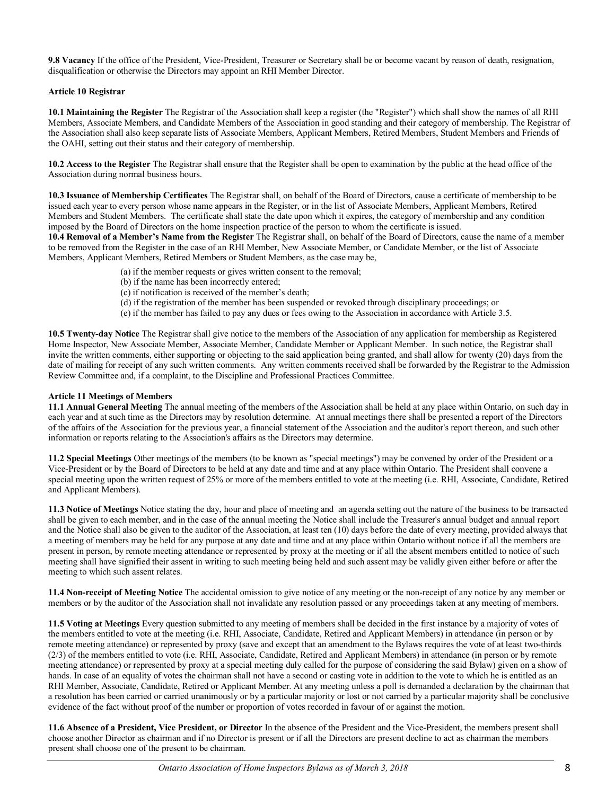**9.8 Vacancy** If the office of the President, Vice-President, Treasurer or Secretary shall be or become vacant by reason of death, resignation, disqualification or otherwise the Directors may appoint an RHI Member Director.

# **Article 10 Registrar**

**10.1 Maintaining the Register** The Registrar of the Association shall keep a register (the "Register") which shall show the names of all RHI Members, Associate Members, and Candidate Members of the Association in good standing and their category of membership. The Registrar of the Association shall also keep separate lists of Associate Members, Applicant Members, Retired Members, Student Members and Friends of the OAHI, setting out their status and their category of membership.

**10.2 Access to the Register** The Registrar shall ensure that the Register shall be open to examination by the public at the head office of the Association during normal business hours.

**10.3 Issuance of Membership Certificates** The Registrar shall, on behalf of the Board of Directors, cause a certificate of membership to be issued each year to every person whose name appears in the Register, or in the list of Associate Members, Applicant Members, Retired Members and Student Members. The certificate shall state the date upon which it expires, the category of membership and any condition imposed by the Board of Directors on the home inspection practice of the person to whom the certificate is issued.

**10.4 Removal of a Member's Name from the Register** The Registrar shall, on behalf of the Board of Directors, cause the name of a member to be removed from the Register in the case of an RHI Member, New Associate Member, or Candidate Member, or the list of Associate Members, Applicant Members, Retired Members or Student Members, as the case may be,

- (a) if the member requests or gives written consent to the removal;
- (b) if the name has been incorrectly entered;
- (c) if notification is received of the member's death;
- (d) if the registration of the member has been suspended or revoked through disciplinary proceedings; or
- (e) if the member has failed to pay any dues or fees owing to the Association in accordance with Article 3.5.

**10.5 Twenty-day Notice** The Registrar shall give notice to the members of the Association of any application for membership as Registered Home Inspector, New Associate Member, Associate Member, Candidate Member or Applicant Member. In such notice, the Registrar shall invite the written comments, either supporting or objecting to the said application being granted, and shall allow for twenty (20) days from the date of mailing for receipt of any such written comments. Any written comments received shall be forwarded by the Registrar to the Admission Review Committee and, if a complaint, to the Discipline and Professional Practices Committee.

## **Article 11 Meetings of Members**

**11.1 Annual General Meeting** The annual meeting of the members of the Association shall be held at any place within Ontario, on such day in each year and at such time as the Directors may by resolution determine. At annual meetings there shall be presented a report of the Directors of the affairs of the Association for the previous year, a financial statement of the Association and the auditor's report thereon, and such other information or reports relating to the Association's affairs as the Directors may determine.

**11.2 Special Meetings** Other meetings of the members (to be known as "special meetings") may be convened by order of the President or a Vice-President or by the Board of Directors to be held at any date and time and at any place within Ontario. The President shall convene a special meeting upon the written request of 25% or more of the members entitled to vote at the meeting (i.e. RHI, Associate, Candidate, Retired and Applicant Members).

**11.3 Notice of Meetings** Notice stating the day, hour and place of meeting and an agenda setting out the nature of the business to be transacted shall be given to each member, and in the case of the annual meeting the Notice shall include the Treasurer's annual budget and annual report and the Notice shall also be given to the auditor of the Association, at least ten (10) days before the date of every meeting, provided always that a meeting of members may be held for any purpose at any date and time and at any place within Ontario without notice if all the members are present in person, by remote meeting attendance or represented by proxy at the meeting or if all the absent members entitled to notice of such meeting shall have signified their assent in writing to such meeting being held and such assent may be validly given either before or after the meeting to which such assent relates.

**11.4 Non-receipt of Meeting Notice** The accidental omission to give notice of any meeting or the non-receipt of any notice by any member or members or by the auditor of the Association shall not invalidate any resolution passed or any proceedings taken at any meeting of members.

**11.5 Voting at Meetings** Every question submitted to any meeting of members shall be decided in the first instance by a majority of votes of the members entitled to vote at the meeting (i.e. RHI, Associate, Candidate, Retired and Applicant Members) in attendance (in person or by remote meeting attendance) or represented by proxy (save and except that an amendment to the Bylaws requires the vote of at least two-thirds (2/3) of the members entitled to vote (i.e. RHI, Associate, Candidate, Retired and Applicant Members) in attendance (in person or by remote meeting attendance) or represented by proxy at a special meeting duly called for the purpose of considering the said Bylaw) given on a show of hands. In case of an equality of votes the chairman shall not have a second or casting vote in addition to the vote to which he is entitled as an RHI Member, Associate, Candidate, Retired or Applicant Member. At any meeting unless a poll is demanded a declaration by the chairman that a resolution has been carried or carried unanimously or by a particular majority or lost or not carried by a particular majority shall be conclusive evidence of the fact without proof of the number or proportion of votes recorded in favour of or against the motion.

**11.6 Absence of a President, Vice President, or Director** In the absence of the President and the Vice-President, the members present shall choose another Director as chairman and if no Director is present or if all the Directors are present decline to act as chairman the members present shall choose one of the present to be chairman.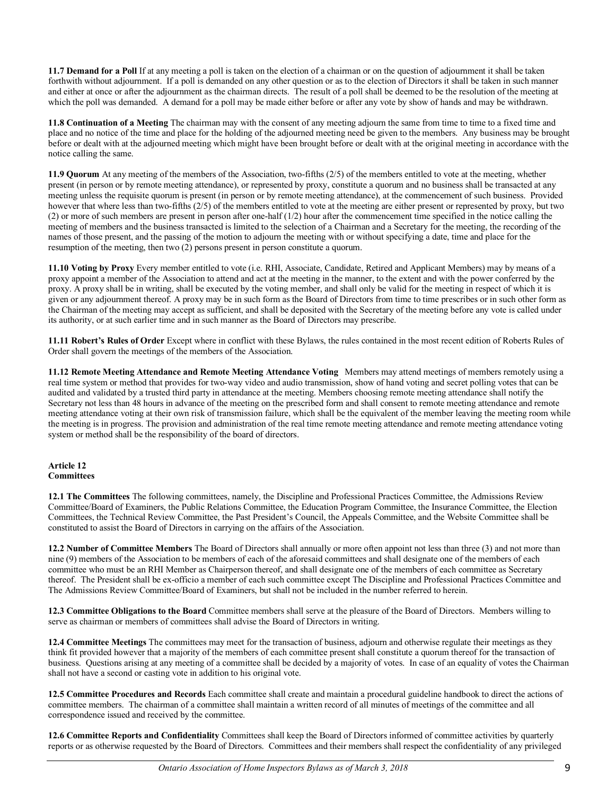**11.7 Demand for a Poll** If at any meeting a poll is taken on the election of a chairman or on the question of adjournment it shall be taken forthwith without adjournment. If a poll is demanded on any other question or as to the election of Directors it shall be taken in such manner and either at once or after the adjournment as the chairman directs. The result of a poll shall be deemed to be the resolution of the meeting at which the poll was demanded. A demand for a poll may be made either before or after any vote by show of hands and may be withdrawn.

**11.8 Continuation of a Meeting** The chairman may with the consent of any meeting adjourn the same from time to time to a fixed time and place and no notice of the time and place for the holding of the adjourned meeting need be given to the members. Any business may be brought before or dealt with at the adjourned meeting which might have been brought before or dealt with at the original meeting in accordance with the notice calling the same.

**11.9 Quorum** At any meeting of the members of the Association, two-fifths (2/5) of the members entitled to vote at the meeting, whether present (in person or by remote meeting attendance), or represented by proxy, constitute a quorum and no business shall be transacted at any meeting unless the requisite quorum is present (in person or by remote meeting attendance), at the commencement of such business. Provided however that where less than two-fifths (2/5) of the members entitled to vote at the meeting are either present or represented by proxy, but two (2) or more of such members are present in person after one-half (1/2) hour after the commencement time specified in the notice calling the meeting of members and the business transacted is limited to the selection of a Chairman and a Secretary for the meeting, the recording of the names of those present, and the passing of the motion to adjourn the meeting with or without specifying a date, time and place for the resumption of the meeting, then two (2) persons present in person constitute a quorum.

**11.10 Voting by Proxy** Every member entitled to vote (i.e. RHI, Associate, Candidate, Retired and Applicant Members) may by means of a proxy appoint a member of the Association to attend and act at the meeting in the manner, to the extent and with the power conferred by the proxy. A proxy shall be in writing, shall be executed by the voting member, and shall only be valid for the meeting in respect of which it is given or any adjournment thereof. A proxy may be in such form as the Board of Directors from time to time prescribes or in such other form as the Chairman of the meeting may accept as sufficient, and shall be deposited with the Secretary of the meeting before any vote is called under its authority, or at such earlier time and in such manner as the Board of Directors may prescribe.

**11.11 Robert's Rules of Order** Except where in conflict with these Bylaws, the rules contained in the most recent edition of Roberts Rules of Order shall govern the meetings of the members of the Association.

**11.12 Remote Meeting Attendance and Remote Meeting Attendance Voting** Members may attend meetings of members remotely using a real time system or method that provides for two-way video and audio transmission, show of hand voting and secret polling votes that can be audited and validated by a trusted third party in attendance at the meeting. Members choosing remote meeting attendance shall notify the Secretary not less than 48 hours in advance of the meeting on the prescribed form and shall consent to remote meeting attendance and remote meeting attendance voting at their own risk of transmission failure, which shall be the equivalent of the member leaving the meeting room while the meeting is in progress. The provision and administration of the real time remote meeting attendance and remote meeting attendance voting system or method shall be the responsibility of the board of directors.

#### **Article 12 Committees**

**12.1 The Committees** The following committees, namely, the Discipline and Professional Practices Committee, the Admissions Review Committee/Board of Examiners, the Public Relations Committee, the Education Program Committee, the Insurance Committee, the Election Committees, the Technical Review Committee, the Past President's Council, the Appeals Committee, and the Website Committee shall be constituted to assist the Board of Directors in carrying on the affairs of the Association.

**12.2 Number of Committee Members** The Board of Directors shall annually or more often appoint not less than three (3) and not more than nine (9) members of the Association to be members of each of the aforesaid committees and shall designate one of the members of each committee who must be an RHI Member as Chairperson thereof, and shall designate one of the members of each committee as Secretary thereof. The President shall be ex-officio a member of each such committee except The Discipline and Professional Practices Committee and The Admissions Review Committee/Board of Examiners, but shall not be included in the number referred to herein.

**12.3 Committee Obligations to the Board** Committee members shall serve at the pleasure of the Board of Directors. Members willing to serve as chairman or members of committees shall advise the Board of Directors in writing.

**12.4 Committee Meetings** The committees may meet for the transaction of business, adjourn and otherwise regulate their meetings as they think fit provided however that a majority of the members of each committee present shall constitute a quorum thereof for the transaction of business. Questions arising at any meeting of a committee shall be decided by a majority of votes. In case of an equality of votes the Chairman shall not have a second or casting vote in addition to his original vote.

**12.5 Committee Procedures and Records** Each committee shall create and maintain a procedural guideline handbook to direct the actions of committee members. The chairman of a committee shall maintain a written record of all minutes of meetings of the committee and all correspondence issued and received by the committee.

**12.6 Committee Reports and Confidentiality** Committees shall keep the Board of Directors informed of committee activities by quarterly reports or as otherwise requested by the Board of Directors. Committees and their members shall respect the confidentiality of any privileged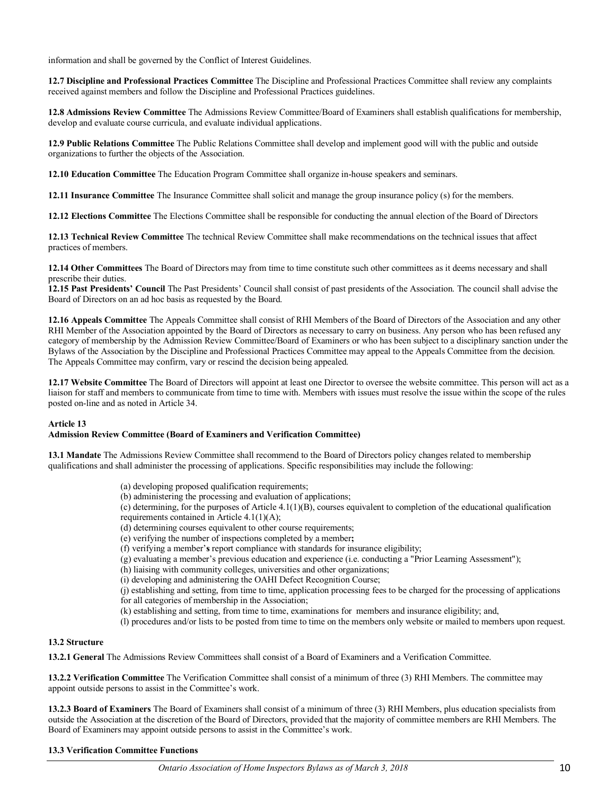information and shall be governed by the Conflict of Interest Guidelines.

**12.7 Discipline and Professional Practices Committee** The Discipline and Professional Practices Committee shall review any complaints received against members and follow the Discipline and Professional Practices guidelines.

**12.8 Admissions Review Committee** The Admissions Review Committee/Board of Examiners shall establish qualifications for membership, develop and evaluate course curricula, and evaluate individual applications.

**12.9 Public Relations Committee** The Public Relations Committee shall develop and implement good will with the public and outside organizations to further the objects of the Association.

**12.10 Education Committee** The Education Program Committee shall organize in-house speakers and seminars.

**12.11 Insurance Committee** The Insurance Committee shall solicit and manage the group insurance policy (s) for the members.

**12.12 Elections Committee** The Elections Committee shall be responsible for conducting the annual election of the Board of Directors

**12.13 Technical Review Committee** The technical Review Committee shall make recommendations on the technical issues that affect practices of members.

**12.14 Other Committees** The Board of Directors may from time to time constitute such other committees as it deems necessary and shall prescribe their duties.

**12.15 Past Presidents' Council** The Past Presidents' Council shall consist of past presidents of the Association. The council shall advise the Board of Directors on an ad hoc basis as requested by the Board.

**12.16 Appeals Committee** The Appeals Committee shall consist of RHI Members of the Board of Directors of the Association and any other RHI Member of the Association appointed by the Board of Directors as necessary to carry on business. Any person who has been refused any category of membership by the Admission Review Committee/Board of Examiners or who has been subject to a disciplinary sanction under the Bylaws of the Association by the Discipline and Professional Practices Committee may appeal to the Appeals Committee from the decision. The Appeals Committee may confirm, vary or rescind the decision being appealed.

**12.17 Website Committee** The Board of Directors will appoint at least one Director to oversee the website committee. This person will act as a liaison for staff and members to communicate from time to time with. Members with issues must resolve the issue within the scope of the rules posted on-line and as noted in Article 34.

#### **Article 13**

#### **Admission Review Committee (Board of Examiners and Verification Committee)**

**13.1 Mandate** The Admissions Review Committee shall recommend to the Board of Directors policy changes related to membership qualifications and shall administer the processing of applications. Specific responsibilities may include the following:

- (a) developing proposed qualification requirements;
- (b) administering the processing and evaluation of applications;
- (c) determining, for the purposes of Article 4.1(1)(B), courses equivalent to completion of the educational qualification requirements contained in Article 4.1(1)(A);
- (d) determining courses equivalent to other course requirements;
- (e) verifying the number of inspections completed by a member**;**
- (f) verifying a member'**s** report compliance with standards for insurance eligibility;
- (g) evaluating a member's previous education and experience (i.e. conducting a "Prior Learning Assessment");
- (h) liaising with community colleges, universities and other organizations;
- (i) developing and administering the OAHI Defect Recognition Course;

(j) establishing and setting, from time to time, application processing fees to be charged for the processing of applications for all categories of membership in the Association;

- (k) establishing and setting, from time to time, examinations for members and insurance eligibility; and,
- (l) procedures and/or lists to be posted from time to time on the members only website or mailed to members upon request.

#### **13.2 Structure**

**13.2.1 General** The Admissions Review Committees shall consist of a Board of Examiners and a Verification Committee.

**13.2.2 Verification Committee** The Verification Committee shall consist of a minimum of three (3) RHI Members. The committee may appoint outside persons to assist in the Committee's work.

**13.2.3 Board of Examiners** The Board of Examiners shall consist of a minimum of three (3) RHI Members, plus education specialists from outside the Association at the discretion of the Board of Directors, provided that the majority of committee members are RHI Members. The Board of Examiners may appoint outside persons to assist in the Committee's work.

#### **13.3 Verification Committee Functions**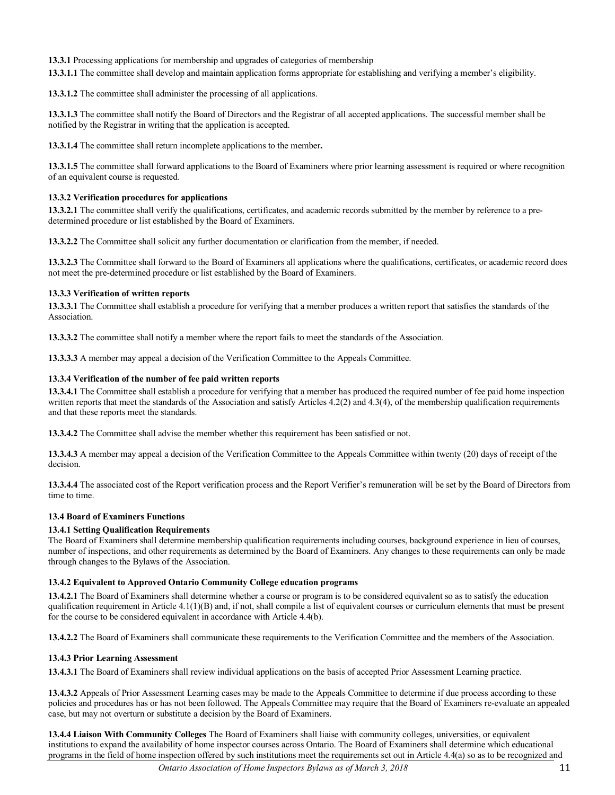**13.3.1** Processing applications for membership and upgrades of categories of membership

**13.3.1.1** The committee shall develop and maintain application forms appropriate for establishing and verifying a member's eligibility.

**13.3.1.2** The committee shall administer the processing of all applications.

**13.3.1.3** The committee shall notify the Board of Directors and the Registrar of all accepted applications. The successful member shall be notified by the Registrar in writing that the application is accepted.

**13.3.1.4** The committee shall return incomplete applications to the member**.** 

**13.3.1.5** The committee shall forward applications to the Board of Examiners where prior learning assessment is required or where recognition of an equivalent course is requested.

#### **13.3.2 Verification procedures for applications**

**13.3.2.1** The committee shall verify the qualifications, certificates, and academic records submitted by the member by reference to a predetermined procedure or list established by the Board of Examiners.

**13.3.2.2** The Committee shall solicit any further documentation or clarification from the member, if needed.

**13.3.2.3** The Committee shall forward to the Board of Examiners all applications where the qualifications, certificates, or academic record does not meet the pre-determined procedure or list established by the Board of Examiners.

#### **13.3.3 Verification of written reports**

**13.3.3.1** The Committee shall establish a procedure for verifying that a member produces a written report that satisfies the standards of the Association.

**13.3.3.2** The committee shall notify a member where the report fails to meet the standards of the Association.

**13.3.3.3** A member may appeal a decision of the Verification Committee to the Appeals Committee.

#### **13.3.4 Verification of the number of fee paid written reports**

**13.3.4.1** The Committee shall establish a procedure for verifying that a member has produced the required number of fee paid home inspection written reports that meet the standards of the Association and satisfy Articles 4.2(2) and 4.3(4), of the membership qualification requirements and that these reports meet the standards.

**13.3.4.2** The Committee shall advise the member whether this requirement has been satisfied or not.

**13.3.4.3** A member may appeal a decision of the Verification Committee to the Appeals Committee within twenty (20) days of receipt of the decision.

**13.3.4.4** The associated cost of the Report verification process and the Report Verifier's remuneration will be set by the Board of Directors from time to time.

# **13.4 Board of Examiners Functions**

#### **13.4.1 Setting Qualification Requirements**

The Board of Examiners shall determine membership qualification requirements including courses, background experience in lieu of courses, number of inspections, and other requirements as determined by the Board of Examiners. Any changes to these requirements can only be made through changes to the Bylaws of the Association.

#### **13.4.2 Equivalent to Approved Ontario Community College education programs**

**13.4.2.1** The Board of Examiners shall determine whether a course or program is to be considered equivalent so as to satisfy the education qualification requirement in Article 4.1(1)(B) and, if not, shall compile a list of equivalent courses or curriculum elements that must be present for the course to be considered equivalent in accordance with Article 4.4(b).

**13.4.2.2** The Board of Examiners shall communicate these requirements to the Verification Committee and the members of the Association.

# **13.4.3 Prior Learning Assessment**

**13.4.3.1** The Board of Examiners shall review individual applications on the basis of accepted Prior Assessment Learning practice.

**13.4.3.2** Appeals of Prior Assessment Learning cases may be made to the Appeals Committee to determine if due process according to these policies and procedures has or has not been followed. The Appeals Committee may require that the Board of Examiners re-evaluate an appealed case, but may not overturn or substitute a decision by the Board of Examiners.

**13.4.4 Liaison With Community Colleges** The Board of Examiners shall liaise with community colleges, universities, or equivalent institutions to expand the availability of home inspector courses across Ontario. The Board of Examiners shall determine which educational programs in the field of home inspection offered by such institutions meet the requirements set out in Article 4.4(a) so as to be recognized and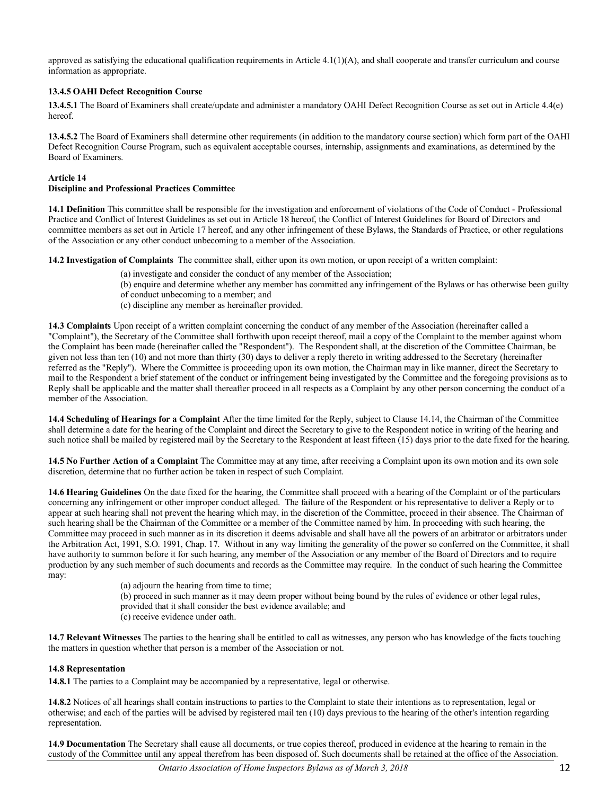approved as satisfying the educational qualification requirements in Article  $4.1(1)(A)$ , and shall cooperate and transfer curriculum and course information as appropriate.

#### **13.4.5 OAHI Defect Recognition Course**

**13.4.5.1** The Board of Examiners shall create/update and administer a mandatory OAHI Defect Recognition Course as set out in Article 4.4(e) hereof.

**13.4.5.2** The Board of Examiners shall determine other requirements (in addition to the mandatory course section) which form part of the OAHI Defect Recognition Course Program, such as equivalent acceptable courses, internship, assignments and examinations, as determined by the Board of Examiners.

#### **Article 14 Discipline and Professional Practices Committee**

**14.1 Definition** This committee shall be responsible for the investigation and enforcement of violations of the Code of Conduct - Professional Practice and Conflict of Interest Guidelines as set out in Article 18 hereof, the Conflict of Interest Guidelines for Board of Directors and committee members as set out in Article 17 hereof, and any other infringement of these Bylaws, the Standards of Practice, or other regulations of the Association or any other conduct unbecoming to a member of the Association.

**14.2 Investigation of Complaints** The committee shall, either upon its own motion, or upon receipt of a written complaint:

- (a) investigate and consider the conduct of any member of the Association;
- (b) enquire and determine whether any member has committed any infringement of the Bylaws or has otherwise been guilty of conduct unbecoming to a member; and
- (c) discipline any member as hereinafter provided.

**14.3 Complaints** Upon receipt of a written complaint concerning the conduct of any member of the Association (hereinafter called a "Complaint"), the Secretary of the Committee shall forthwith upon receipt thereof, mail a copy of the Complaint to the member against whom the Complaint has been made (hereinafter called the "Respondent"). The Respondent shall, at the discretion of the Committee Chairman, be given not less than ten (10) and not more than thirty (30) days to deliver a reply thereto in writing addressed to the Secretary (hereinafter referred as the "Reply"). Where the Committee is proceeding upon its own motion, the Chairman may in like manner, direct the Secretary to mail to the Respondent a brief statement of the conduct or infringement being investigated by the Committee and the foregoing provisions as to Reply shall be applicable and the matter shall thereafter proceed in all respects as a Complaint by any other person concerning the conduct of a member of the Association.

**14.4 Scheduling of Hearings for a Complaint** After the time limited for the Reply, subject to Clause 14.14, the Chairman of the Committee shall determine a date for the hearing of the Complaint and direct the Secretary to give to the Respondent notice in writing of the hearing and such notice shall be mailed by registered mail by the Secretary to the Respondent at least fifteen (15) days prior to the date fixed for the hearing.

**14.5 No Further Action of a Complaint** The Committee may at any time, after receiving a Complaint upon its own motion and its own sole discretion, determine that no further action be taken in respect of such Complaint.

**14.6 Hearing Guidelines** On the date fixed for the hearing, the Committee shall proceed with a hearing of the Complaint or of the particulars concerning any infringement or other improper conduct alleged. The failure of the Respondent or his representative to deliver a Reply or to appear at such hearing shall not prevent the hearing which may, in the discretion of the Committee, proceed in their absence. The Chairman of such hearing shall be the Chairman of the Committee or a member of the Committee named by him. In proceeding with such hearing, the Committee may proceed in such manner as in its discretion it deems advisable and shall have all the powers of an arbitrator or arbitrators under the Arbitration Act, 1991, S.O. 1991, Chap. 17. Without in any way limiting the generality of the power so conferred on the Committee, it shall have authority to summon before it for such hearing, any member of the Association or any member of the Board of Directors and to require production by any such member of such documents and records as the Committee may require. In the conduct of such hearing the Committee may:

> (a) adjourn the hearing from time to time; (b) proceed in such manner as it may deem proper without being bound by the rules of evidence or other legal rules, provided that it shall consider the best evidence available; and (c) receive evidence under oath.

**14.7 Relevant Witnesses** The parties to the hearing shall be entitled to call as witnesses, any person who has knowledge of the facts touching the matters in question whether that person is a member of the Association or not.

#### **14.8 Representation**

**14.8.1** The parties to a Complaint may be accompanied by a representative, legal or otherwise.

**14.8.2** Notices of all hearings shall contain instructions to parties to the Complaint to state their intentions as to representation, legal or otherwise; and each of the parties will be advised by registered mail ten (10) days previous to the hearing of the other's intention regarding representation.

**14.9 Documentation** The Secretary shall cause all documents, or true copies thereof, produced in evidence at the hearing to remain in the custody of the Committee until any appeal therefrom has been disposed of. Such documents shall be retained at the office of the Association.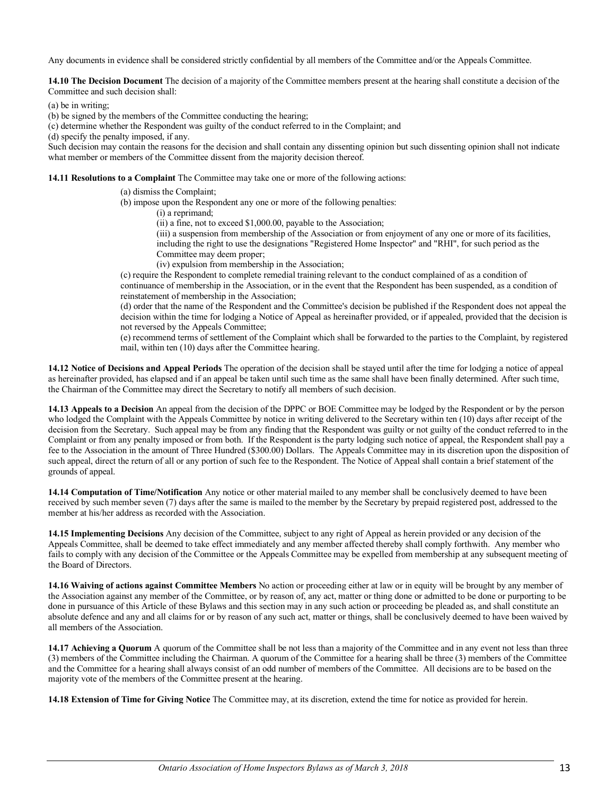Any documents in evidence shall be considered strictly confidential by all members of the Committee and/or the Appeals Committee.

**14.10 The Decision Document** The decision of a majority of the Committee members present at the hearing shall constitute a decision of the Committee and such decision shall:

(a) be in writing;

(b) be signed by the members of the Committee conducting the hearing;

(c) determine whether the Respondent was guilty of the conduct referred to in the Complaint; and

(d) specify the penalty imposed, if any.

Such decision may contain the reasons for the decision and shall contain any dissenting opinion but such dissenting opinion shall not indicate what member or members of the Committee dissent from the majority decision thereof.

**14.11 Resolutions to a Complaint** The Committee may take one or more of the following actions:

(a) dismiss the Complaint;

(b) impose upon the Respondent any one or more of the following penalties:

(i) a reprimand;

(ii) a fine, not to exceed \$1,000.00, payable to the Association;

(iii) a suspension from membership of the Association or from enjoyment of any one or more of its facilities, including the right to use the designations "Registered Home Inspector" and "RHI", for such period as the Committee may deem proper;

(iv) expulsion from membership in the Association;

(c) require the Respondent to complete remedial training relevant to the conduct complained of as a condition of continuance of membership in the Association, or in the event that the Respondent has been suspended, as a condition of reinstatement of membership in the Association;

(d) order that the name of the Respondent and the Committee's decision be published if the Respondent does not appeal the decision within the time for lodging a Notice of Appeal as hereinafter provided, or if appealed, provided that the decision is not reversed by the Appeals Committee;

(e) recommend terms of settlement of the Complaint which shall be forwarded to the parties to the Complaint, by registered mail, within ten (10) days after the Committee hearing.

**14.12 Notice of Decisions and Appeal Periods** The operation of the decision shall be stayed until after the time for lodging a notice of appeal as hereinafter provided, has elapsed and if an appeal be taken until such time as the same shall have been finally determined. After such time, the Chairman of the Committee may direct the Secretary to notify all members of such decision.

**14.13 Appeals to a Decision** An appeal from the decision of the DPPC or BOE Committee may be lodged by the Respondent or by the person who lodged the Complaint with the Appeals Committee by notice in writing delivered to the Secretary within ten (10) days after receipt of the decision from the Secretary. Such appeal may be from any finding that the Respondent was guilty or not guilty of the conduct referred to in the Complaint or from any penalty imposed or from both. If the Respondent is the party lodging such notice of appeal, the Respondent shall pay a fee to the Association in the amount of Three Hundred (\$300.00) Dollars. The Appeals Committee may in its discretion upon the disposition of such appeal, direct the return of all or any portion of such fee to the Respondent. The Notice of Appeal shall contain a brief statement of the grounds of appeal.

**14.14 Computation of Time/Notification** Any notice or other material mailed to any member shall be conclusively deemed to have been received by such member seven (7) days after the same is mailed to the member by the Secretary by prepaid registered post, addressed to the member at his/her address as recorded with the Association.

**14.15 Implementing Decisions** Any decision of the Committee, subject to any right of Appeal as herein provided or any decision of the Appeals Committee, shall be deemed to take effect immediately and any member affected thereby shall comply forthwith. Any member who fails to comply with any decision of the Committee or the Appeals Committee may be expelled from membership at any subsequent meeting of the Board of Directors.

**14.16 Waiving of actions against Committee Members** No action or proceeding either at law or in equity will be brought by any member of the Association against any member of the Committee, or by reason of, any act, matter or thing done or admitted to be done or purporting to be done in pursuance of this Article of these Bylaws and this section may in any such action or proceeding be pleaded as, and shall constitute an absolute defence and any and all claims for or by reason of any such act, matter or things, shall be conclusively deemed to have been waived by all members of the Association.

**14.17 Achieving a Quorum** A quorum of the Committee shall be not less than a majority of the Committee and in any event not less than three (3) members of the Committee including the Chairman. A quorum of the Committee for a hearing shall be three (3) members of the Committee and the Committee for a hearing shall always consist of an odd number of members of the Committee. All decisions are to be based on the majority vote of the members of the Committee present at the hearing.

**14.18 Extension of Time for Giving Notice** The Committee may, at its discretion, extend the time for notice as provided for herein.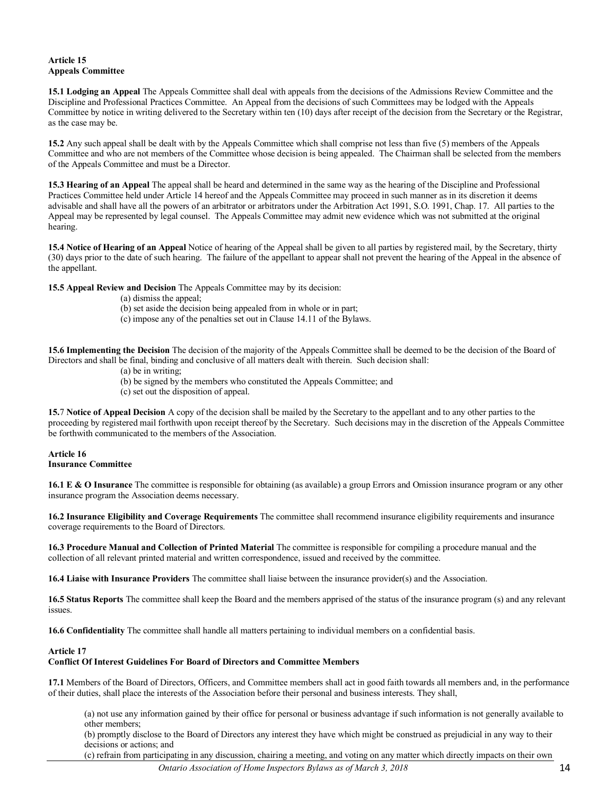# **Article 15 Appeals Committee**

**15.1 Lodging an Appeal** The Appeals Committee shall deal with appeals from the decisions of the Admissions Review Committee and the Discipline and Professional Practices Committee. An Appeal from the decisions of such Committees may be lodged with the Appeals Committee by notice in writing delivered to the Secretary within ten (10) days after receipt of the decision from the Secretary or the Registrar, as the case may be.

**15.2** Any such appeal shall be dealt with by the Appeals Committee which shall comprise not less than five (5) members of the Appeals Committee and who are not members of the Committee whose decision is being appealed. The Chairman shall be selected from the members of the Appeals Committee and must be a Director.

**15.3 Hearing of an Appeal** The appeal shall be heard and determined in the same way as the hearing of the Discipline and Professional Practices Committee held under Article 14 hereof and the Appeals Committee may proceed in such manner as in its discretion it deems advisable and shall have all the powers of an arbitrator or arbitrators under the Arbitration Act 1991, S.O. 1991, Chap. 17. All parties to the Appeal may be represented by legal counsel. The Appeals Committee may admit new evidence which was not submitted at the original hearing.

**15.4 Notice of Hearing of an Appeal** Notice of hearing of the Appeal shall be given to all parties by registered mail, by the Secretary, thirty (30) days prior to the date of such hearing. The failure of the appellant to appear shall not prevent the hearing of the Appeal in the absence of the appellant.

**15.5 Appeal Review and Decision** The Appeals Committee may by its decision:

- (a) dismiss the appeal;
- (b) set aside the decision being appealed from in whole or in part;
- (c) impose any of the penalties set out in Clause 14.11 of the Bylaws.

**15.6 Implementing the Decision** The decision of the majority of the Appeals Committee shall be deemed to be the decision of the Board of Directors and shall be final, binding and conclusive of all matters dealt with therein. Such decision shall:

- (a) be in writing;
- (b) be signed by the members who constituted the Appeals Committee; and
- (c) set out the disposition of appeal.

**15.**7 **Notice of Appeal Decision** A copy of the decision shall be mailed by the Secretary to the appellant and to any other parties to the proceeding by registered mail forthwith upon receipt thereof by the Secretary. Such decisions may in the discretion of the Appeals Committee be forthwith communicated to the members of the Association.

#### **Article 16 Insurance Committee**

**16.1 E & O Insurance** The committee is responsible for obtaining (as available) a group Errors and Omission insurance program or any other insurance program the Association deems necessary.

**16.2 Insurance Eligibility and Coverage Requirements** The committee shall recommend insurance eligibility requirements and insurance coverage requirements to the Board of Directors.

**16.3 Procedure Manual and Collection of Printed Material** The committee is responsible for compiling a procedure manual and the collection of all relevant printed material and written correspondence, issued and received by the committee.

**16.4 Liaise with Insurance Providers** The committee shall liaise between the insurance provider(s) and the Association.

**16.5 Status Reports** The committee shall keep the Board and the members apprised of the status of the insurance program (s) and any relevant issues.

**16.6 Confidentiality** The committee shall handle all matters pertaining to individual members on a confidential basis.

#### **Article 17**

# **Conflict Of Interest Guidelines For Board of Directors and Committee Members**

**17.1** Members of the Board of Directors, Officers, and Committee members shall act in good faith towards all members and, in the performance of their duties, shall place the interests of the Association before their personal and business interests. They shall,

(a) not use any information gained by their office for personal or business advantage if such information is not generally available to other members;

(b) promptly disclose to the Board of Directors any interest they have which might be construed as prejudicial in any way to their decisions or actions; and

(c) refrain from participating in any discussion, chairing a meeting, and voting on any matter which directly impacts on their own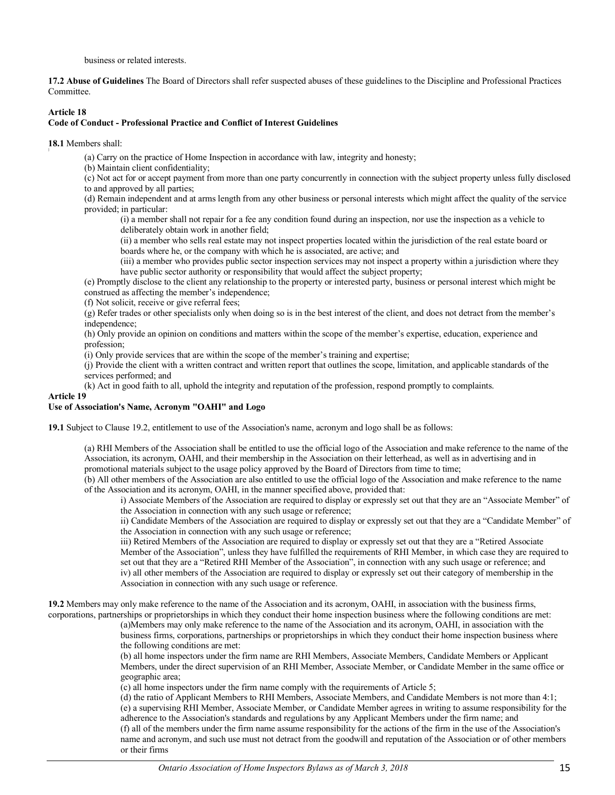business or related interests.

**17.2 Abuse of Guidelines** The Board of Directors shall refer suspected abuses of these guidelines to the Discipline and Professional Practices Committee.

#### **Article 18**

# **Code of Conduct - Professional Practice and Conflict of Interest Guidelines**

18.1 Members shall:

(a) Carry on the practice of Home Inspection in accordance with law, integrity and honesty;

(b) Maintain client confidentiality;

(c) Not act for or accept payment from more than one party concurrently in connection with the subject property unless fully disclosed to and approved by all parties;

(d) Remain independent and at arms length from any other business or personal interests which might affect the quality of the service provided; in particular:

(i) a member shall not repair for a fee any condition found during an inspection, nor use the inspection as a vehicle to deliberately obtain work in another field;

(ii) a member who sells real estate may not inspect properties located within the jurisdiction of the real estate board or boards where he, or the company with which he is associated, are active; and

(iii) a member who provides public sector inspection services may not inspect a property within a jurisdiction where they have public sector authority or responsibility that would affect the subject property;

(e) Promptly disclose to the client any relationship to the property or interested party, business or personal interest which might be construed as affecting the member's independence;

(f) Not solicit, receive or give referral fees;

(g) Refer trades or other specialists only when doing so is in the best interest of the client, and does not detract from the member's independence;

(h) Only provide an opinion on conditions and matters within the scope of the member's expertise, education, experience and profession;

(i) Only provide services that are within the scope of the member's training and expertise;

(j) Provide the client with a written contract and written report that outlines the scope, limitation, and applicable standards of the services performed; and

(k) Act in good faith to all, uphold the integrity and reputation of the profession, respond promptly to complaints.

#### **Article 19**

#### **Use of Association's Name, Acronym "OAHI" and Logo**

**19.1** Subject to Clause 19.2, entitlement to use of the Association's name, acronym and logo shall be as follows:

(a) RHI Members of the Association shall be entitled to use the official logo of the Association and make reference to the name of the Association, its acronym, OAHI, and their membership in the Association on their letterhead, as well as in advertising and in promotional materials subject to the usage policy approved by the Board of Directors from time to time;

(b) All other members of the Association are also entitled to use the official logo of the Association and make reference to the name of the Association and its acronym, OAHI, in the manner specified above, provided that:

i) Associate Members of the Association are required to display or expressly set out that they are an "Associate Member" of the Association in connection with any such usage or reference;

ii) Candidate Members of the Association are required to display or expressly set out that they are a "Candidate Member" of the Association in connection with any such usage or reference;

iii) Retired Members of the Association are required to display or expressly set out that they are a "Retired Associate Member of the Association", unless they have fulfilled the requirements of RHI Member, in which case they are required to set out that they are a "Retired RHI Member of the Association", in connection with any such usage or reference; and iv) all other members of the Association are required to display or expressly set out their category of membership in the Association in connection with any such usage or reference.

**19.2** Members may only make reference to the name of the Association and its acronym, OAHI, in association with the business firms, corporations, partnerships or proprietorships in which they conduct their home inspection business where the following conditions are met:

(a)Members may only make reference to the name of the Association and its acronym, OAHI, in association with the business firms, corporations, partnerships or proprietorships in which they conduct their home inspection business where the following conditions are met:

(b) all home inspectors under the firm name are RHI Members, Associate Members, Candidate Members or Applicant Members, under the direct supervision of an RHI Member, Associate Member, or Candidate Member in the same office or geographic area;

(c) all home inspectors under the firm name comply with the requirements of Article 5;

(d) the ratio of Applicant Members to RHI Members, Associate Members, and Candidate Members is not more than 4:1; (e) a supervising RHI Member, Associate Member, or Candidate Member agrees in writing to assume responsibility for the adherence to the Association's standards and regulations by any Applicant Members under the firm name; and (f) all of the members under the firm name assume responsibility for the actions of the firm in the use of the Association's name and acronym, and such use must not detract from the goodwill and reputation of the Association or of other members or their firms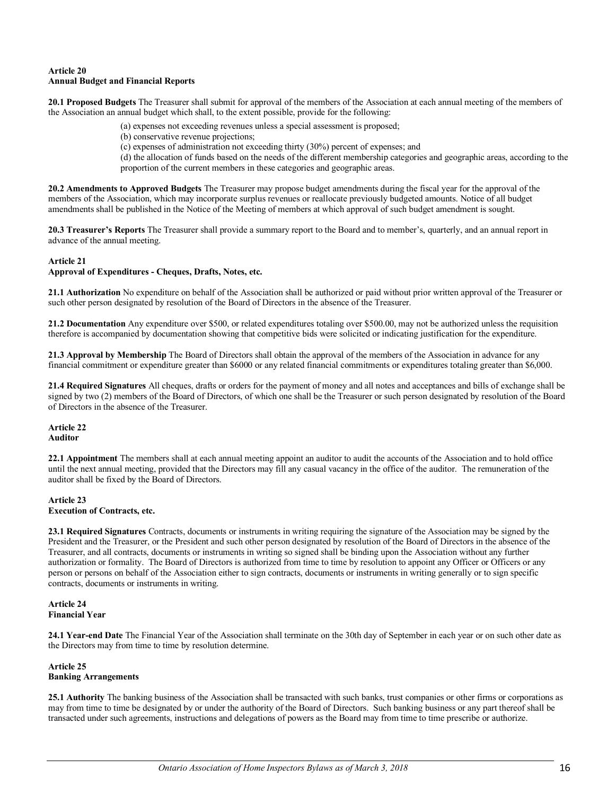#### **Article 20 Annual Budget and Financial Reports**

**20.1 Proposed Budgets** The Treasurer shall submit for approval of the members of the Association at each annual meeting of the members of the Association an annual budget which shall, to the extent possible, provide for the following:

- (a) expenses not exceeding revenues unless a special assessment is proposed;
- (b) conservative revenue projections;
- (c) expenses of administration not exceeding thirty (30%) percent of expenses; and

(d) the allocation of funds based on the needs of the different membership categories and geographic areas, according to the proportion of the current members in these categories and geographic areas.

**20.2 Amendments to Approved Budgets** The Treasurer may propose budget amendments during the fiscal year for the approval of the members of the Association, which may incorporate surplus revenues or reallocate previously budgeted amounts. Notice of all budget amendments shall be published in the Notice of the Meeting of members at which approval of such budget amendment is sought.

**20.3 Treasurer's Reports** The Treasurer shall provide a summary report to the Board and to member's, quarterly, and an annual report in advance of the annual meeting.

#### **Article 21**

#### **Approval of Expenditures - Cheques, Drafts, Notes, etc.**

**21.1 Authorization** No expenditure on behalf of the Association shall be authorized or paid without prior written approval of the Treasurer or such other person designated by resolution of the Board of Directors in the absence of the Treasurer.

**21.2 Documentation** Any expenditure over \$500, or related expenditures totaling over \$500.00, may not be authorized unless the requisition therefore is accompanied by documentation showing that competitive bids were solicited or indicating justification for the expenditure.

**21.3 Approval by Membership** The Board of Directors shall obtain the approval of the members of the Association in advance for any financial commitment or expenditure greater than \$6000 or any related financial commitments or expenditures totaling greater than \$6,000.

**21.4 Required Signatures** All cheques, drafts or orders for the payment of money and all notes and acceptances and bills of exchange shall be signed by two (2) members of the Board of Directors, of which one shall be the Treasurer or such person designated by resolution of the Board of Directors in the absence of the Treasurer.

#### **Article 22 Auditor**

**22.1 Appointment** The members shall at each annual meeting appoint an auditor to audit the accounts of the Association and to hold office until the next annual meeting, provided that the Directors may fill any casual vacancy in the office of the auditor. The remuneration of the auditor shall be fixed by the Board of Directors.

#### **Article 23 Execution of Contracts, etc.**

**23.1 Required Signatures** Contracts, documents or instruments in writing requiring the signature of the Association may be signed by the President and the Treasurer, or the President and such other person designated by resolution of the Board of Directors in the absence of the Treasurer, and all contracts, documents or instruments in writing so signed shall be binding upon the Association without any further authorization or formality. The Board of Directors is authorized from time to time by resolution to appoint any Officer or Officers or any person or persons on behalf of the Association either to sign contracts, documents or instruments in writing generally or to sign specific contracts, documents or instruments in writing.

#### **Article 24 Financial Year**

**24.1 Year-end Date** The Financial Year of the Association shall terminate on the 30th day of September in each year or on such other date as the Directors may from time to time by resolution determine.

#### **Article 25 Banking Arrangements**

**25.1 Authority** The banking business of the Association shall be transacted with such banks, trust companies or other firms or corporations as may from time to time be designated by or under the authority of the Board of Directors. Such banking business or any part thereof shall be transacted under such agreements, instructions and delegations of powers as the Board may from time to time prescribe or authorize.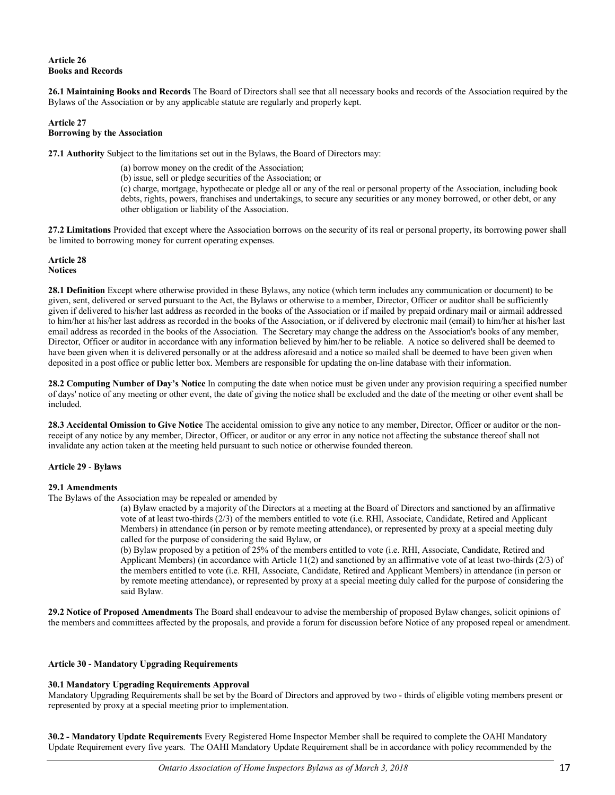## **Article 26 Books and Records**

**26.1 Maintaining Books and Records** The Board of Directors shall see that all necessary books and records of the Association required by the Bylaws of the Association or by any applicable statute are regularly and properly kept.

#### **Article 27 Borrowing by the Association**

**27.1 Authority** Subject to the limitations set out in the Bylaws, the Board of Directors may:

(a) borrow money on the credit of the Association;

(b) issue, sell or pledge securities of the Association; or

(c) charge, mortgage, hypothecate or pledge all or any of the real or personal property of the Association, including book debts, rights, powers, franchises and undertakings, to secure any securities or any money borrowed, or other debt, or any other obligation or liability of the Association.

**27.2 Limitations** Provided that except where the Association borrows on the security of its real or personal property, its borrowing power shall be limited to borrowing money for current operating expenses.

#### **Article 28 Notices**

**28.1 Definition** Except where otherwise provided in these Bylaws, any notice (which term includes any communication or document) to be given, sent, delivered or served pursuant to the Act, the Bylaws or otherwise to a member, Director, Officer or auditor shall be sufficiently given if delivered to his/her last address as recorded in the books of the Association or if mailed by prepaid ordinary mail or airmail addressed to him/her at his/her last address as recorded in the books of the Association, or if delivered by electronic mail (email) to him/her at his/her last email address as recorded in the books of the Association. The Secretary may change the address on the Association's books of any member, Director, Officer or auditor in accordance with any information believed by him/her to be reliable. A notice so delivered shall be deemed to have been given when it is delivered personally or at the address aforesaid and a notice so mailed shall be deemed to have been given when deposited in a post office or public letter box. Members are responsible for updating the on-line database with their information.

**28.2 Computing Number of Day's Notice** In computing the date when notice must be given under any provision requiring a specified number of days' notice of any meeting or other event, the date of giving the notice shall be excluded and the date of the meeting or other event shall be included.

**28.3 Accidental Omission to Give Notice** The accidental omission to give any notice to any member, Director, Officer or auditor or the nonreceipt of any notice by any member, Director, Officer, or auditor or any error in any notice not affecting the substance thereof shall not invalidate any action taken at the meeting held pursuant to such notice or otherwise founded thereon.

# **Article 29** - **Bylaws**

# **29.1 Amendments**

The Bylaws of the Association may be repealed or amended by

(a) Bylaw enacted by a majority of the Directors at a meeting at the Board of Directors and sanctioned by an affirmative vote of at least two-thirds (2/3) of the members entitled to vote (i.e. RHI, Associate, Candidate, Retired and Applicant Members) in attendance (in person or by remote meeting attendance), or represented by proxy at a special meeting duly called for the purpose of considering the said Bylaw, or

(b) Bylaw proposed by a petition of 25% of the members entitled to vote (i.e. RHI, Associate, Candidate, Retired and Applicant Members) (in accordance with Article 11(2) and sanctioned by an affirmative vote of at least two-thirds (2/3) of the members entitled to vote (i.e. RHI, Associate, Candidate, Retired and Applicant Members) in attendance (in person or by remote meeting attendance), or represented by proxy at a special meeting duly called for the purpose of considering the said Bylaw.

**29.2 Notice of Proposed Amendments** The Board shall endeavour to advise the membership of proposed Bylaw changes, solicit opinions of the members and committees affected by the proposals, and provide a forum for discussion before Notice of any proposed repeal or amendment.

#### **Article 30 - Mandatory Upgrading Requirements**

#### **30.1 Mandatory Upgrading Requirements Approval**

Mandatory Upgrading Requirements shall be set by the Board of Directors and approved by two - thirds of eligible voting members present or represented by proxy at a special meeting prior to implementation.

**30.2 - Mandatory Update Requirements** Every Registered Home Inspector Member shall be required to complete the OAHI Mandatory Update Requirement every five years. The OAHI Mandatory Update Requirement shall be in accordance with policy recommended by the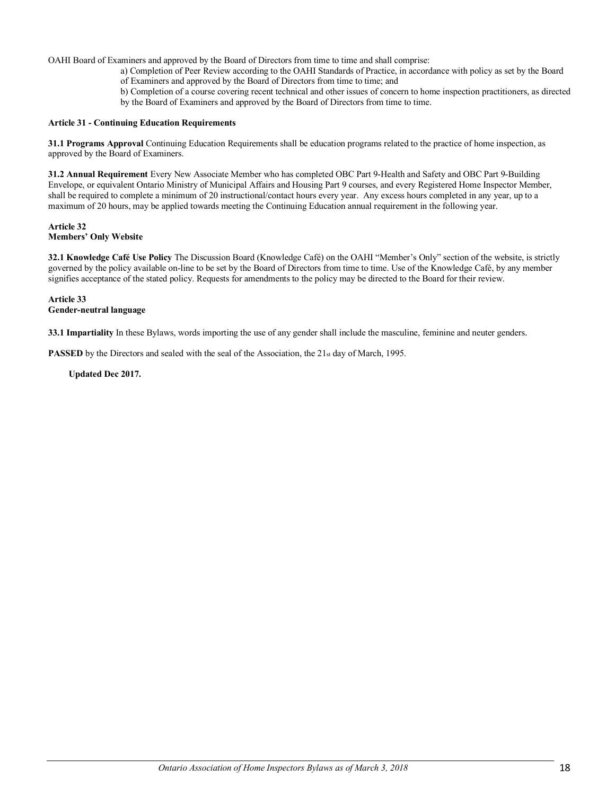OAHI Board of Examiners and approved by the Board of Directors from time to time and shall comprise:

- a) Completion of Peer Review according to the OAHI Standards of Practice, in accordance with policy as set by the Board of Examiners and approved by the Board of Directors from time to time; and
- b) Completion of a course covering recent technical and other issues of concern to home inspection practitioners, as directed by the Board of Examiners and approved by the Board of Directors from time to time.

#### **Article 31 - Continuing Education Requirements**

**31.1 Programs Approval** Continuing Education Requirements shall be education programs related to the practice of home inspection, as approved by the Board of Examiners.

**31.2 Annual Requirement** Every New Associate Member who has completed OBC Part 9-Health and Safety and OBC Part 9-Building Envelope, or equivalent Ontario Ministry of Municipal Affairs and Housing Part 9 courses, and every Registered Home Inspector Member, shall be required to complete a minimum of 20 instructional/contact hours every year. Any excess hours completed in any year, up to a maximum of 20 hours, may be applied towards meeting the Continuing Education annual requirement in the following year.

#### **Article 32 Members' Only Website**

**32.1 Knowledge Café Use Policy** The Discussion Board (Knowledge Café) on the OAHI "Member's Only" section of the website, is strictly governed by the policy available on-line to be set by the Board of Directors from time to time. Use of the Knowledge Café, by any member signifies acceptance of the stated policy. Requests for amendments to the policy may be directed to the Board for their review.

#### **Article 33 Gender-neutral language**

**33.1 Impartiality** In these Bylaws, words importing the use of any gender shall include the masculine, feminine and neuter genders.

**PASSED** by the Directors and sealed with the seal of the Association, the 21st day of March, 1995.

 **Updated Dec 2017.**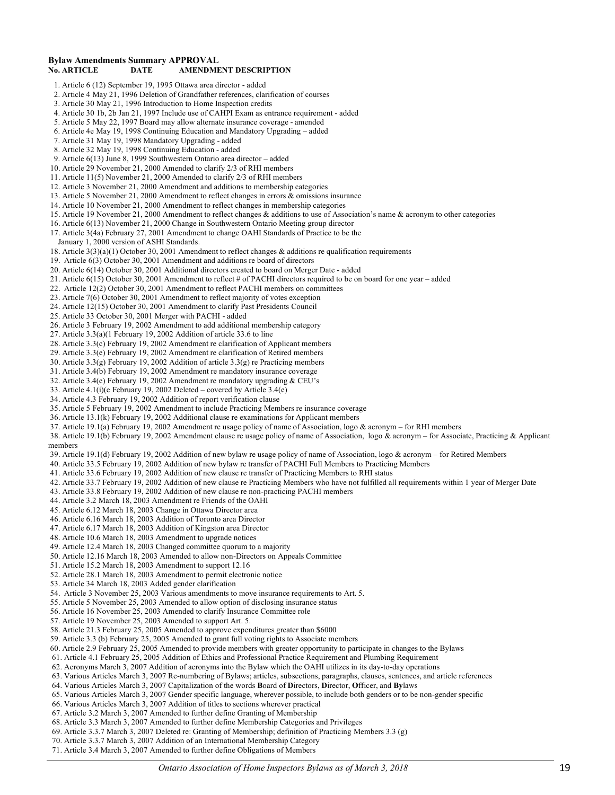#### **Bylaw Amendments Summary APPROVAL No. ARTICLE DATE AMENDMENT DESCRIPTION**

 1. Article 6 (12) September 19, 1995 Ottawa area director - added 2. Article 4 May 21, 1996 Deletion of Grandfather references, clarification of courses 3. Article 30 May 21, 1996 Introduction to Home Inspection credits 4. Article 30 1b, 2b Jan 21, 1997 Include use of CAHPI Exam as entrance requirement - added 5. Article 5 May 22, 1997 Board may allow alternate insurance coverage - amended 6. Article 4e May 19, 1998 Continuing Education and Mandatory Upgrading – added 7. Article 31 May 19, 1998 Mandatory Upgrading - added 8. Article 32 May 19, 1998 Continuing Education - added 9. Article 6(13) June 8, 1999 Southwestern Ontario area director – added 10. Article 29 November 21, 2000 Amended to clarify 2/3 of RHI members 11. Article 11(5) November 21, 2000 Amended to clarify 2/3 of RHI members 12. Article 3 November 21, 2000 Amendment and additions to membership categories 13. Article 5 November 21, 2000 Amendment to reflect changes in errors & omissions insurance 14. Article 10 November 21, 2000 Amendment to reflect changes in membership categories 15. Article 19 November 21, 2000 Amendment to reflect changes & additions to use of Association's name & acronym to other categories 16. Article 6(13) November 21, 2000 Change in Southwestern Ontario Meeting group director 17. Article 3(4a) February 27, 2001 Amendment to change OAHI Standards of Practice to be the January 1, 2000 version of ASHI Standards. 18. Article 3(3)(a)(1) October 30, 2001 Amendment to reflect changes & additions re qualification requirements 19. Article 6(3) October 30, 2001 Amendment and additions re board of directors 20. Article 6(14) October 30, 2001 Additional directors created to board on Merger Date - added 21. Article 6(15) October 30, 2001 Amendment to reflect # of PACHI directors required to be on board for one year – added 22. Article 12(2) October 30, 2001 Amendment to reflect PACHI members on committees 23. Article 7(6) October 30, 2001 Amendment to reflect majority of votes exception 24. Article 12(15) October 30, 2001 Amendment to clarify Past Presidents Council 25. Article 33 October 30, 2001 Merger with PACHI - added 26. Article 3 February 19, 2002 Amendment to add additional membership category 27. Article 3.3(a)(1 February 19, 2002 Addition of article 33.6 to line 28. Article 3.3(c) February 19, 2002 Amendment re clarification of Applicant members 29. Article 3.3(e) February 19, 2002 Amendment re clarification of Retired members 30. Article 3.3(g) February 19, 2002 Addition of article 3.3(g) re Practicing members 31. Article 3.4(b) February 19, 2002 Amendment re mandatory insurance coverage 32. Article 3.4(e) February 19, 2002 Amendment re mandatory upgrading & CEU's 33. Article 4.1(i)(e February 19, 2002 Deleted – covered by Article 3.4(e) 34. Article 4.3 February 19, 2002 Addition of report verification clause 35. Article 5 February 19, 2002 Amendment to include Practicing Members re insurance coverage 36. Article 13.1(k) February 19, 2002 Additional clause re examinations for Applicant members 37. Article 19.1(a) February 19, 2002 Amendment re usage policy of name of Association, logo & acronym – for RHI members 38. Article 19.1(b) February 19, 2002 Amendment clause re usage policy of name of Association, logo & acronym – for Associate, Practicing & Applicant members 39. Article 19.1(d) February 19, 2002 Addition of new bylaw re usage policy of name of Association, logo & acronym – for Retired Members 40. Article 33.5 February 19, 2002 Addition of new bylaw re transfer of PACHI Full Members to Practicing Members 41. Article 33.6 February 19, 2002 Addition of new clause re transfer of Practicing Members to RHI status 42. Article 33.7 February 19, 2002 Addition of new clause re Practicing Members who have not fulfilled all requirements within 1 year of Merger Date 43. Article 33.8 February 19, 2002 Addition of new clause re non-practicing PACHI members 44. Article 3.2 March 18, 2003 Amendment re Friends of the OAHI 45. Article 6.12 March 18, 2003 Change in Ottawa Director area 46. Article 6.16 March 18, 2003 Addition of Toronto area Director 47. Article 6.17 March 18, 2003 Addition of Kingston area Director 48. Article 10.6 March 18, 2003 Amendment to upgrade notices 49. Article 12.4 March 18, 2003 Changed committee quorum to a majority 50. Article 12.16 March 18, 2003 Amended to allow non-Directors on Appeals Committee 51. Article 15.2 March 18, 2003 Amendment to support 12.16 52. Article 28.1 March 18, 2003 Amendment to permit electronic notice 53. Article 34 March 18, 2003 Added gender clarification 54. Article 3 November 25, 2003 Various amendments to move insurance requirements to Art. 5. 55. Article 5 November 25, 2003 Amended to allow option of disclosing insurance status 56. Article 16 November 25, 2003 Amended to clarify Insurance Committee role 57. Article 19 November 25, 2003 Amended to support Art. 5. 58. Article 21.3 February 25, 2005 Amended to approve expenditures greater than \$6000 59. Article 3.3 (b) February 25, 2005 Amended to grant full voting rights to Associate members 60. Article 2.9 February 25, 2005 Amended to provide members with greater opportunity to participate in changes to the Bylaws 61. Article 4.1 February 25, 2005 Addition of Ethics and Professional Practice Requirement and Plumbing Requirement 62. Acronyms March 3, 2007 Addition of acronyms into the Bylaw which the OAHI utilizes in its day-to-day operations 63. Various Articles March 3, 2007 Re-numbering of Bylaws; articles, subsections, paragraphs, clauses, sentences, and article references 64. Various Articles March 3, 2007 Capitalization of the words **B**oard of **D**irectors, **D**irector, **O**fficer, and **By**laws 65. Various Articles March 3, 2007 Gender specific language, wherever possible, to include both genders or to be non-gender specific 66. Various Articles March 3, 2007 Addition of titles to sections wherever practical 67. Article 3.2 March 3, 2007 Amended to further define Granting of Membership 68. Article 3.3 March 3, 2007 Amended to further define Membership Categories and Privileges 69. Article 3.3.7 March 3, 2007 Deleted re: Granting of Membership; definition of Practicing Members 3.3 (g)

- 70. Article 3.3.7 March 3, 2007 Addition of an International Membership Category
- 71. Article 3.4 March 3, 2007 Amended to further define Obligations of Members